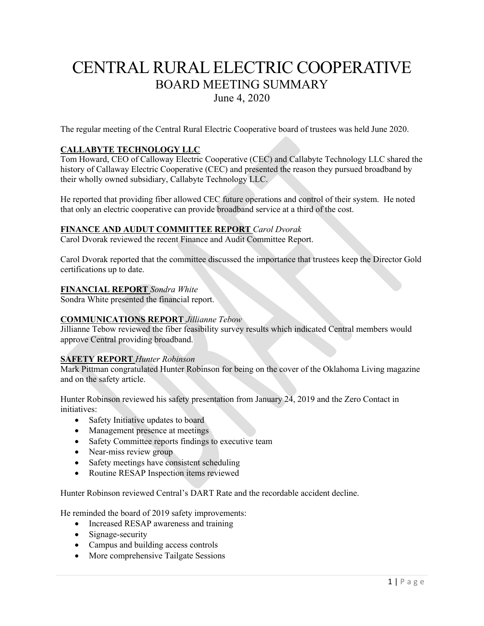# CENTRAL RURAL ELECTRIC COOPERATIVE BOARD MEETING SUMMARY June 4, 2020

The regular meeting of the Central Rural Electric Cooperative board of trustees was held June 2020.

## **CALLABYTE TECHNOLOGY LLC**

Tom Howard, CEO of Calloway Electric Cooperative (CEC) and Callabyte Technology LLC shared the history of Callaway Electric Cooperative (CEC) and presented the reason they pursued broadband by their wholly owned subsidiary, Callabyte Technology LLC.

He reported that providing fiber allowed CEC future operations and control of their system. He noted that only an electric cooperative can provide broadband service at a third of the cost.

## **FINANCE AND AUDUT COMMITTEE REPORT** *Carol Dvorak*

Carol Dvorak reviewed the recent Finance and Audit Committee Report.

Carol Dvorak reported that the committee discussed the importance that trustees keep the Director Gold certifications up to date.

## **FINANCIAL REPORT** *Sondra White*

Sondra White presented the financial report.

## **COMMUNICATIONS REPORT** *Jillianne Tebow*

Jillianne Tebow reviewed the fiber feasibility survey results which indicated Central members would approve Central providing broadband.

## **SAFETY REPORT** *Hunter Robinson*

Mark Pittman congratulated Hunter Robinson for being on the cover of the Oklahoma Living magazine and on the safety article.

Hunter Robinson reviewed his safety presentation from January 24, 2019 and the Zero Contact in initiatives:

- Safety Initiative updates to board
- Management presence at meetings
- Safety Committee reports findings to executive team
- Near-miss review group
- Safety meetings have consistent scheduling
- Routine RESAP Inspection items reviewed

Hunter Robinson reviewed Central's DART Rate and the recordable accident decline.

He reminded the board of 2019 safety improvements:

- Increased RESAP awareness and training
- Signage-security
- Campus and building access controls
- More comprehensive Tailgate Sessions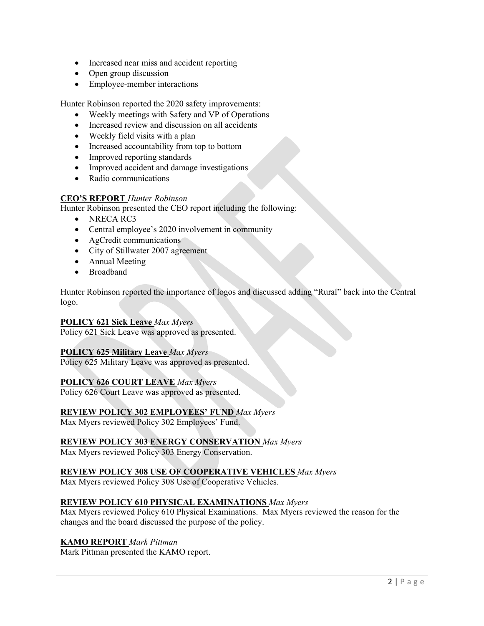- Increased near miss and accident reporting
- Open group discussion
- Employee-member interactions

Hunter Robinson reported the 2020 safety improvements:

- Weekly meetings with Safety and VP of Operations
- Increased review and discussion on all accidents
- Weekly field visits with a plan
- Increased accountability from top to bottom
- Improved reporting standards
- Improved accident and damage investigations
- Radio communications

## **CEO'S REPORT** *Hunter Robinson*

Hunter Robinson presented the CEO report including the following:

- NRECA RC3
- Central employee's 2020 involvement in community
- AgCredit communications
- City of Stillwater 2007 agreement
- Annual Meeting
- Broadband

Hunter Robinson reported the importance of logos and discussed adding "Rural" back into the Central logo.

## **POLICY 621 Sick Leave** *Max Myers*

Policy 621 Sick Leave was approved as presented.

## **POLICY 625 Military Leave** *Max Myers*

Policy 625 Military Leave was approved as presented.

## **POLICY 626 COURT LEAVE** *Max Myers*

Policy 626 Court Leave was approved as presented.

## **REVIEW POLICY 302 EMPLOYEES' FUND** *Max Myers*

Max Myers reviewed Policy 302 Employees' Fund.

## **REVIEW POLICY 303 ENERGY CONSERVATION** *Max Myers*

Max Myers reviewed Policy 303 Energy Conservation.

## **REVIEW POLICY 308 USE OF COOPERATIVE VEHICLES** *Max Myers*

Max Myers reviewed Policy 308 Use of Cooperative Vehicles.

## **REVIEW POLICY 610 PHYSICAL EXAMINATIONS** *Max Myers*

Max Myers reviewed Policy 610 Physical Examinations. Max Myers reviewed the reason for the changes and the board discussed the purpose of the policy.

## **KAMO REPORT** *Mark Pittman*

Mark Pittman presented the KAMO report.